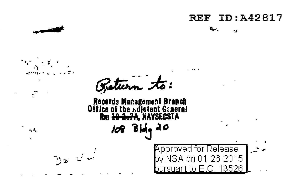